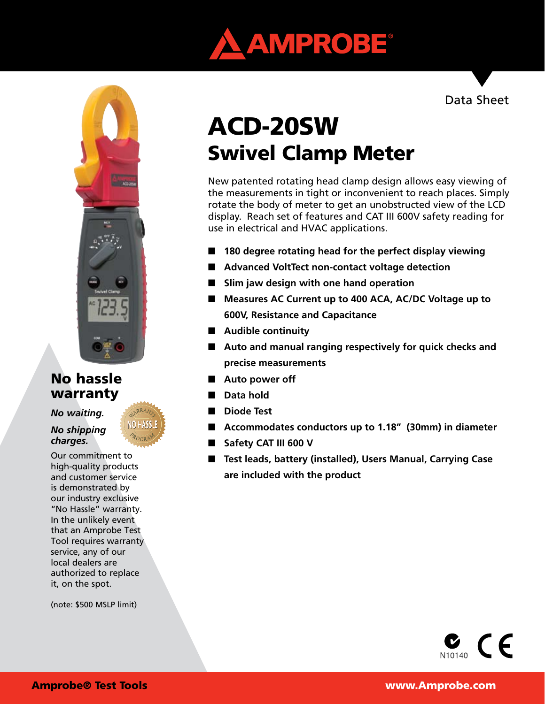

# **NO.25**

# No hassle warranty

### *No waiting.*

### *No shipping charges.*

Our commitment to high-quality products and customer service is demonstrated by our industry exclusive "No Hassle" warranty. In the unlikely event that an Amprobe Test Tool requires warranty service, any of our local dealers are authorized to replace it, on the spot.

(note: \$500 MSLP limit)

# Swivel Clamp Meter ACD-20SW

New patented rotating head clamp design allows easy viewing of the measurements in tight or inconvenient to reach places. Simply rotate the body of meter to get an unobstructed view of the LCD display. Reach set of features and CAT III 600V safety reading for use in electrical and HVAC applications.

- n **180 degree rotating head for the perfect display viewing**
- Advanced VoltTect non-contact voltage detection
- Slim jaw design with one hand operation
- Measures AC Current up to 400 ACA, AC/DC Voltage up to **600V, Resistance and Capacitance**
- **E** Audible continuity
- Auto and manual ranging respectively for quick checks and **precise measurements**
- Auto power off
- **n** Data hold
- **n** Diode Test
- Accommodates conductors up to 1.18″ (30mm) in diameter
- **No Safety CAT III 600 V**
- Test leads, battery (installed), Users Manual, Carrying Case **are included with the product**

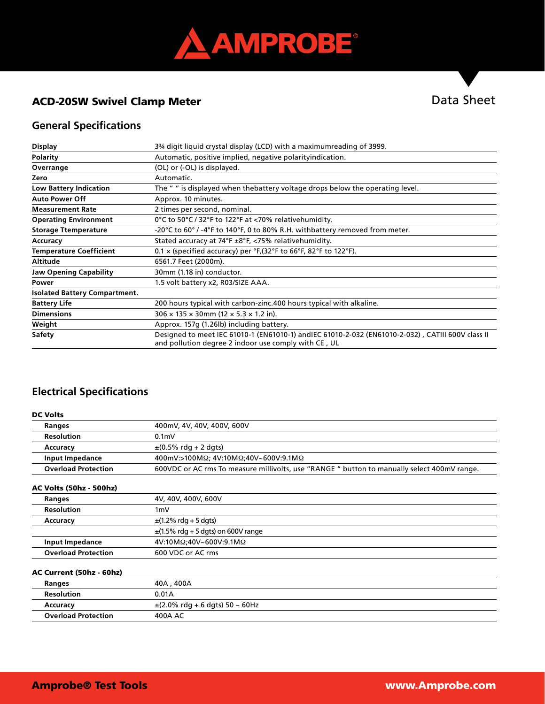

# ACD-20SW Swivel Clamp Meter

# **General Specifications**

| <b>Display</b>                       | 3 <sup>3</sup> / <sub>4</sub> digit liquid crystal display (LCD) with a maximumreading of 3999.                                                           |
|--------------------------------------|-----------------------------------------------------------------------------------------------------------------------------------------------------------|
| <b>Polarity</b>                      | Automatic, positive implied, negative polarityindication.                                                                                                 |
| Overrange                            | (OL) or (-OL) is displayed.                                                                                                                               |
| Zero                                 | Automatic.                                                                                                                                                |
| <b>Low Battery Indication</b>        | The "" is displayed when the battery voltage drops below the operating level.                                                                             |
| <b>Auto Power Off</b>                | Approx. 10 minutes.                                                                                                                                       |
| <b>Measurement Rate</b>              | 2 times per second, nominal.                                                                                                                              |
| <b>Operating Environment</b>         | 0°C to 50°C / 32°F to 122°F at <70% relative humidity.                                                                                                    |
| <b>Storage Ttemperature</b>          | -20°C to 60° / -4°F to 140°F, 0 to 80% R.H. withbattery removed from meter.                                                                               |
| Accuracy                             | Stated accuracy at $74^{\circ}F \pm 8^{\circ}F$ , <75% relativehumidity.                                                                                  |
| <b>Temperature Coefficient</b>       | $0.1 \times$ (specified accuracy) per $\degree$ F, (32 $\degree$ F to 66 $\degree$ F, 82 $\degree$ F to 122 $\degree$ F).                                 |
| <b>Altitude</b>                      | 6561.7 Feet (2000m).                                                                                                                                      |
| <b>Jaw Opening Capability</b>        | 30mm (1.18 in) conductor.                                                                                                                                 |
| Power                                | 1.5 volt battery x2, R03/SIZE AAA.                                                                                                                        |
| <b>Isolated Battery Compartment.</b> |                                                                                                                                                           |
| <b>Battery Life</b>                  | 200 hours typical with carbon-zinc.400 hours typical with alkaline.                                                                                       |
| <b>Dimensions</b>                    | $306 \times 135 \times 30$ mm (12 $\times$ 5.3 $\times$ 1.2 in).                                                                                          |
| Weight                               | Approx. 157g (1.26lb) including battery.                                                                                                                  |
| Safety                               | Designed to meet IEC 61010-1 (EN61010-1) andIEC 61010-2-032 (EN61010-2-032), CATIII 600V class II<br>and pollution degree 2 indoor use comply with CE, UL |

### **Electrical Specifications**

| <b>DC Volts</b>                |                                                                                            |
|--------------------------------|--------------------------------------------------------------------------------------------|
| Ranges                         | 400mV, 4V, 40V, 400V, 600V                                                                 |
| <b>Resolution</b>              | 0.1 <sub>m</sub>                                                                           |
| Accuracy                       | $\pm (0.5\% \text{ rdq} + 2 \text{ dqts})$                                                 |
| <b>Input Impedance</b>         | 400mV:>100MΩ; 4V:10MΩ;40V~600V:9.1MΩ                                                       |
| <b>Overload Protection</b>     | 600VDC or AC rms To measure millivolts, use "RANGE" button to manually select 400mV range. |
| <b>AC Volts (50hz - 500hz)</b> |                                                                                            |
| Ranges                         | 4V, 40V, 400V, 600V                                                                        |
| <b>Resolution</b>              | 1 <sub>m</sub> V                                                                           |
| Accuracy                       | $\pm$ (1.2% rdg + 5 dgts)                                                                  |
|                                | $\pm$ (1.5% rdg + 5 dgts) on 600V range                                                    |
| Input Impedance                | 4V:10MΩ;40V~600V:9.1MΩ                                                                     |
| <b>Overload Protection</b>     | 600 VDC or AC rms                                                                          |
| AC Current (50hz - 60hz)       |                                                                                            |
| Ranges                         | 40A, 400A                                                                                  |
| <b>Resolution</b>              | 0.01A                                                                                      |
| Accuracy                       | $\pm$ (2.0% rdg + 6 dgts) 50 ~ 60Hz                                                        |
| <b>Overload Protection</b>     | 400A AC                                                                                    |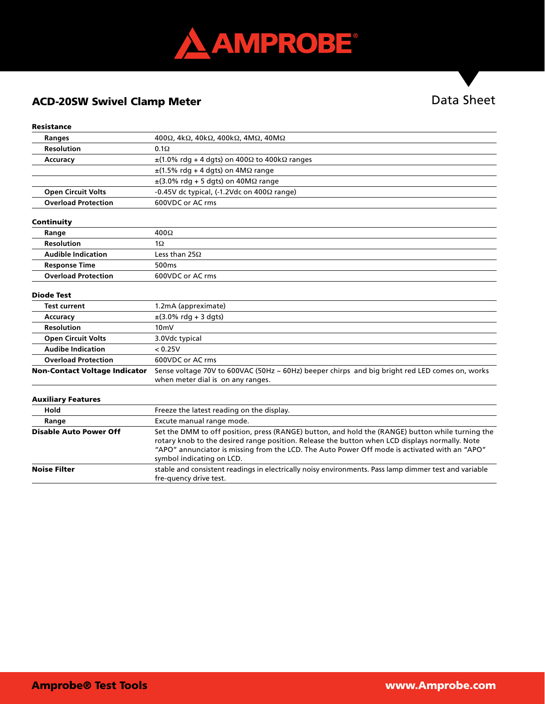

## ACD-20SW Swivel Clamp Meter

# Data Sheet

### Resistance

| <b>Ranges</b>                        | 400 $\Omega$ , 4k $\Omega$ , 40k $\Omega$ , 400k $\Omega$ , 4M $\Omega$ , 40M $\Omega$                                                                                                                                                                                                                                           |
|--------------------------------------|----------------------------------------------------------------------------------------------------------------------------------------------------------------------------------------------------------------------------------------------------------------------------------------------------------------------------------|
| <b>Resolution</b>                    | $0.1\Omega$                                                                                                                                                                                                                                                                                                                      |
| Accuracy                             | $\pm$ (1.0% rdg + 4 dgts) on 400 $\Omega$ to 400k $\Omega$ ranges                                                                                                                                                                                                                                                                |
|                                      | $\pm$ (1.5% rdg + 4 dgts) on 4M $\Omega$ range                                                                                                                                                                                                                                                                                   |
|                                      | $\pm$ (3.0% rdg + 5 dgts) on 40M $\Omega$ range                                                                                                                                                                                                                                                                                  |
| <b>Open Circuit Volts</b>            | $-0.45V$ dc typical, (-1.2Vdc on $400\Omega$ range)                                                                                                                                                                                                                                                                              |
| <b>Overload Protection</b>           | 600VDC or AC rms                                                                                                                                                                                                                                                                                                                 |
| Continuity                           |                                                                                                                                                                                                                                                                                                                                  |
| Range                                | $400\Omega$                                                                                                                                                                                                                                                                                                                      |
| <b>Resolution</b>                    | $1\Omega$                                                                                                                                                                                                                                                                                                                        |
| <b>Audible Indication</b>            | Less than $25\Omega$                                                                                                                                                                                                                                                                                                             |
| <b>Response Time</b>                 | 500 <sub>ms</sub>                                                                                                                                                                                                                                                                                                                |
| <b>Overload Protection</b>           | 600VDC or AC rms                                                                                                                                                                                                                                                                                                                 |
| <b>Diode Test</b>                    |                                                                                                                                                                                                                                                                                                                                  |
| <b>Test current</b>                  | 1.2mA (appreximate)                                                                                                                                                                                                                                                                                                              |
| Accuracy                             | $\pm$ (3.0% rdg + 3 dgts)                                                                                                                                                                                                                                                                                                        |
| <b>Resolution</b>                    | 10 <sub>m</sub>                                                                                                                                                                                                                                                                                                                  |
| <b>Open Circuit Volts</b>            | 3.0Vdc typical                                                                                                                                                                                                                                                                                                                   |
| <b>Audibe Indication</b>             | < 0.25V                                                                                                                                                                                                                                                                                                                          |
| <b>Overload Protection</b>           | 600VDC or AC rms                                                                                                                                                                                                                                                                                                                 |
| <b>Non-Contact Voltage Indicator</b> | Sense voltage 70V to 600VAC (50Hz ~ 60Hz) beeper chirps and big bright red LED comes on, works<br>when meter dial is on any ranges.                                                                                                                                                                                              |
| <b>Auxiliary Features</b>            |                                                                                                                                                                                                                                                                                                                                  |
| Hold                                 | Freeze the latest reading on the display.                                                                                                                                                                                                                                                                                        |
| Range                                | Excute manual range mode.                                                                                                                                                                                                                                                                                                        |
| <b>Disable Auto Power Off</b>        | Set the DMM to off position, press (RANGE) button, and hold the (RANGE) button while turning the<br>rotary knob to the desired range position. Release the button when LCD displays normally. Note<br>"APO" annunciator is missing from the LCD. The Auto Power Off mode is activated with an "APO"<br>symbol indicating on LCD. |
| <b>Noise Filter</b>                  | stable and consistent readings in electrically noisy environments. Pass lamp dimmer test and variable<br>fre-quency drive test.                                                                                                                                                                                                  |